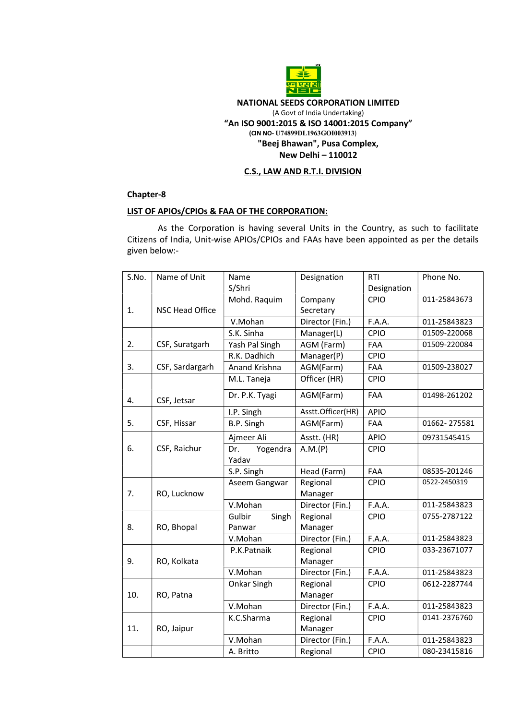

## NATIONAL SEEDS CORPORATION LIMITED (A Govt of India Undertaking) "An ISO 9001:2015 & ISO 14001:2015 Company" (CIN NO- U74899DL1963GOI003913) "Beej Bhawan", Pusa Complex, New Delhi – 110012

## C.S., LAW AND R.T.I. DIVISION

# Chapter-8

### LIST OF APIOs/CPIOs & FAA OF THE CORPORATION:

 As the Corporation is having several Units in the Country, as such to facilitate Citizens of India, Unit-wise APIOs/CPIOs and FAAs have been appointed as per the details given below:-

| S.No. | Name of Unit<br>Name   |                 | Designation       | <b>RTI</b>  | Phone No.    |
|-------|------------------------|-----------------|-------------------|-------------|--------------|
|       |                        | S/Shri          |                   | Designation |              |
|       | <b>NSC Head Office</b> | Mohd. Raquim    | Company           | CPIO        | 011-25843673 |
| 1.    |                        |                 | Secretary         |             |              |
|       |                        | V.Mohan         | Director (Fin.)   | F.A.A.      | 011-25843823 |
|       | CSF, Suratgarh         | S.K. Sinha      | Manager(L)        | CPIO        | 01509-220068 |
| 2.    |                        | Yash Pal Singh  | AGM (Farm)        | FAA         | 01509-220084 |
|       | CSF, Sardargarh        | R.K. Dadhich    | Manager(P)        | CPIO        |              |
| 3.    |                        | Anand Krishna   | AGM(Farm)         | FAA         | 01509-238027 |
|       | CSF, Jetsar            | M.L. Taneja     | Officer (HR)      | CPIO        |              |
| 4.    |                        | Dr. P.K. Tyagi  | AGM(Farm)         | FAA         | 01498-261202 |
|       |                        | I.P. Singh      | Asstt.Officer(HR) | <b>APIO</b> |              |
| 5.    | CSF, Hissar            | B.P. Singh      | AGM(Farm)         | <b>FAA</b>  | 01662-275581 |
| 6.    | CSF, Raichur           | Ajmeer Ali      | Asstt. (HR)       | <b>APIO</b> | 09731545415  |
|       |                        | Yogendra<br>Dr. | A.M.(P)           | CPIO        |              |
|       |                        | Yadav           |                   |             |              |
|       |                        | S.P. Singh      | Head (Farm)       | FAA         | 08535-201246 |
| 7.    | RO, Lucknow            | Aseem Gangwar   | Regional          | CPIO        | 0522-2450319 |
|       |                        |                 | Manager           |             |              |
|       |                        | V.Mohan         | Director (Fin.)   | F.A.A.      | 011-25843823 |
|       | RO, Bhopal             | Gulbir<br>Singh | Regional          | CPIO        | 0755-2787122 |
| 8.    |                        | Panwar          | Manager           |             |              |
|       |                        | V.Mohan         | Director (Fin.)   | F.A.A.      | 011-25843823 |
| 9.    | RO, Kolkata            | P.K.Patnaik     | Regional          | CPIO        | 033-23671077 |
|       |                        |                 | Manager           |             |              |
|       |                        | V.Mohan         | Director (Fin.)   | F.A.A.      | 011-25843823 |
| 10.   | RO, Patna              | Onkar Singh     | Regional          | CPIO        | 0612-2287744 |
|       |                        |                 | Manager           |             |              |
|       |                        | V.Mohan         | Director (Fin.)   | F.A.A.      | 011-25843823 |
| 11.   | RO, Jaipur             | K.C.Sharma      | Regional          | CPIO        | 0141-2376760 |
|       |                        |                 | Manager           |             |              |
|       |                        | V.Mohan         | Director (Fin.)   | F.A.A.      | 011-25843823 |
|       |                        | A. Britto       | Regional          | CPIO        | 080-23415816 |